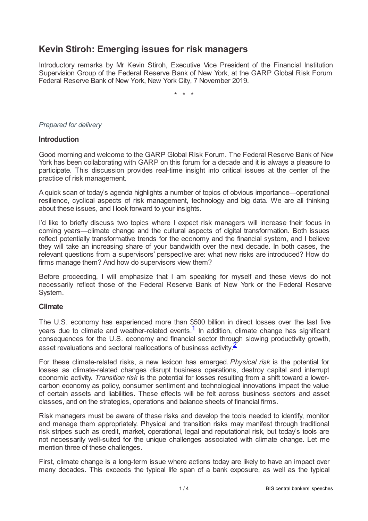# **Kevin Stiroh: Emerging issues for risk managers**

Introductory remarks by Mr Kevin Stiroh, Executive Vice President of the Financial Institution Supervision Group of the Federal Reserve Bank of New York, at the GARP Global Risk Forum, Federal Reserve Bank of New York, New York City, 7 November 2019.

\* \* \*

#### <span id="page-0-7"></span><span id="page-0-6"></span><span id="page-0-5"></span><span id="page-0-4"></span><span id="page-0-3"></span><span id="page-0-2"></span><span id="page-0-1"></span><span id="page-0-0"></span>*Prepared for delivery*

#### **Introduction**

Good morning and welcome to the GARP Global Risk Forum. The Federal Reserve Bank of New York has been collaborating with GARP on this forum for a decade and it is always a pleasure to participate. This discussion provides real-time insight into critical issues at the center of the practice of risk management.

A quick scan of today's agenda highlights a number of topics of obvious importance—operational resilience, cyclical aspects of risk management, technology and big data. We are all thinking about these issues, and I look forward to your insights.

I'd like to briefly discuss two topics where I expect risk managers will increase their focus in coming years—climate change and the cultural aspects of digital transformation. Both issues reflect potentially transformative trends for the economy and the financial system, and I believe they will take an increasing share of your bandwidth over the next decade. In both cases, the relevant questions from a supervisors' perspective are: what new risks are introduced? How do firms manage them? And how do supervisors view them?

Before proceeding, I will emphasize that I am speaking for myself and these views do not necessarily reflect those of the Federal Reserve Bank of New York or the Federal Reserve System.

## **Climate**

The U.S. economy has experienced more than \$500 billion in direct losses over the last five years due to climate and weather-related events[.](#page-3-0)<sup>1</sup> In addition, climate change has significant consequences for the U.S. economy and financial sector through slowing productivity growth, asset revaluations and sectoral reallocations of business activity.  $\leq$ 

For these climate-related risks, a new lexicon has emerged. *Physical risk* is the potential for losses as climate-related changes disrupt business operations, destroy capital and interrupt economic activity. *Transition risk* is the potential for losses resulting from a shift toward a lowercarbon economy as policy, consumer sentiment and technological innovations impact the value of certain assets and liabilities. These effects will be felt across business sectors and asset classes, and on the strategies, operations and balance sheets of financial firms.

Risk managers must be aware of these risks and develop the tools needed to identify, monitor and manage them appropriately. Physical and transition risks may manifest through traditional risk stripes such as credit, market, operational, legal and reputational risk, but today's tools are not necessarily well-suited for the unique challenges associated with climate change. Let me mention three of these challenges.

First, climate change is a long-term issue where actions today are likely to have an impact over many decades. This exceeds the typical life span of a bank exposure, as well as the typical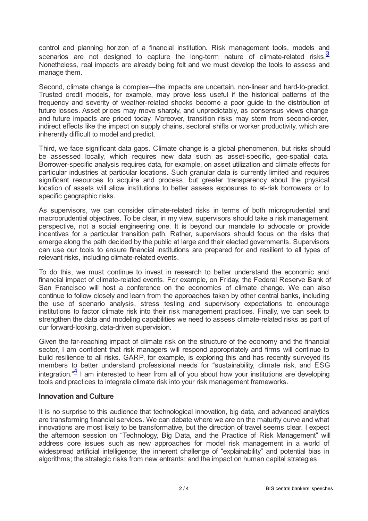control and planning horizon of a financial institution. Risk management tools, models and scenarios are not designed to capture the long-term nature of climate-related risks. $\frac{3}{2}$  $\frac{3}{2}$  $\frac{3}{2}$ Nonetheless, real impacts are already being felt and we must develop the tools to assess and manage them.

Second, climate change is complex—the impacts are uncertain, non-linear and hard-to-predict. Trusted credit models, for example, may prove less useful if the historical patterns of the frequency and severity of weather-related shocks become a poor guide to the distribution of future losses. Asset prices may move sharply, and unpredictably, as consensus views change and future impacts are priced today. Moreover, transition risks may stem from second-order, indirect effects like the impact on supply chains, sectoral shifts or worker productivity, which are inherently difficult to model and predict.

Third, we face significant data gaps. Climate change is a global phenomenon, but risks should be assessed locally, which requires new data such as asset-specific, geo-spatial data. Borrower-specific analysis requires data, for example, on asset utilization and climate effects for particular industries at particular locations. Such granular data is currently limited and requires significant resources to acquire and process, but greater transparency about the physical location of assets will allow institutions to better assess exposures to at-risk borrowers or to specific geographic risks.

As supervisors, we can consider climate-related risks in terms of both microprudential and macroprudential objectives. To be clear, in my view, supervisors should take a risk management perspective, not a social engineering one. It is beyond our mandate to advocate or provide incentives for a particular transition path. Rather, supervisors should focus on the risks that emerge along the path decided by the public at large and their elected governments. Supervisors can use our tools to ensure financial institutions are prepared for and resilient to all types of relevant risks, including climate-related events.

To do this, we must continue to invest in research to better understand the economic and financial impact of climate-related events. For example, on Friday, the Federal Reserve Bank of San Francisco will host a conference on the economics of climate change. We can also continue to follow closely and learn from the approaches taken by other central banks, including the use of scenario analysis, stress testing and supervisory expectations to encourage institutions to factor climate risk into their risk management practices. Finally, we can seek to strengthen the data and modeling capabilities we need to assess climate-related risks as part of our forward-looking, data-driven supervision.

Given the far-reaching impact of climate risk on the structure of the economy and the financial sector, I am confident that risk managers will respond appropriately and firms will continue to build resilience to all risks. GARP, for example, is exploring this and has recently surveyed its members to better understand professional needs for "sustainability, climate risk, and ESG integration." $\frac{4}{1}$  $\frac{4}{1}$  $\frac{4}{1}$  I am interested to hear from all of you about how your institutions are developing tools and practices to integrate climate risk into your risk management frameworks.

## **Innovation and Culture**

It is no surprise to this audience that technological innovation, big data, and advanced analytics are transforming financial services. We can debate where we are on the maturity curve and what innovations are most likely to be transformative, but the direction of travel seems clear. I expect the afternoon session on "Technology, Big Data, and the Practice of Risk Management" will address core issues such as new approaches for model risk management in a world of widespread artificial intelligence; the inherent challenge of "explainability" and potential bias in algorithms; the strategic risks from new entrants; and the impact on human capital strategies.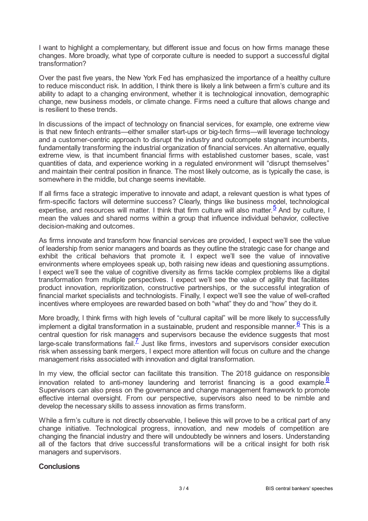I want to highlight a complementary, but different issue and focus on how firms manage these changes. More broadly, what type of corporate culture is needed to support a successful digital transformation?

Over the past five years, the New York Fed has emphasized the importance of a healthy culture to reduce misconduct risk. In addition, I think there is likely a link between a firm's culture and its ability to adapt to a changing environment, whether it is technological innovation, demographic change, new business models, or climate change. Firms need a culture that allows change and is resilient to these trends.

In discussions of the impact of technology on financial services, for example, one extreme view is that new fintech entrants—either smaller start-ups or big-tech firms—will leverage technology and a customer-centric approach to disrupt the industry and outcompete stagnant incumbents, fundamentally transforming the industrial organization of financial services. An alternative, equally extreme view, is that incumbent financial firms with established customer bases, scale, vast quantities of data, and experience working in a regulated environment will "disrupt themselves" and maintain their central position in finance. The most likely outcome, as is typically the case, is somewhere in the middle, but change seems inevitable.

If all firms face a strategic imperative to innovate and adapt, a relevant question is what types of firm-specific factors will determine success? Clearly, things like business model, technological expertise, and resources will matter. I think that firm culture will also matter.  $\frac{5}{2}$  $\frac{5}{2}$  $\frac{5}{2}$  And by culture, I mean the values and shared norms within a group that influence individual behavior, collective decision-making and outcomes.

As firms innovate and transform how financial services are provided, I expect we'll see the value of leadership from senior managers and boards as they outline the strategic case for change and exhibit the critical behaviors that promote it. I expect we'll see the value of innovative environments where employees speak up, both raising new ideas and questioning assumptions. I expect we'll see the value of cognitive diversity as firms tackle complex problems like a digital transformation from multiple perspectives. I expect we'll see the value of agility that facilitates product innovation, reprioritization, constructive partnerships, or the successful integration of financial market specialists and technologists. Finally, I expect we'll see the value of well-crafted incentives where employees are rewarded based on both "what" they do and "how" they do it.

More broadly, I think firms with high levels of "cultural capital" will be more likely to successfully implement a digital transformation in a sustainable, prudent and responsible manner.  $6$  This is a central question for risk managers and supervisors because the evidence suggests that most large-scale transformations fail.<sup> $Z$ </sup> Just like firms, investors and supervisors consider execution risk when assessing bank mergers, I expect more attention will focus on culture and the change management risks associated with innovation and digital transformation.

In my view, the official sector can facilitate this transition. The 2018 guidance on responsible innovation related to anti-money laundering and terrorist financing is a good example.<sup>[8](#page-3-7)</sup> Supervisors can also press on the governance and change management framework to promote effective internal oversight. From our perspective, supervisors also need to be nimble and develop the necessary skills to assess innovation as firms transform.

While a firm's culture is not directly observable, I believe this will prove to be a critical part of any change initiative. Technological progress, innovation, and new models of competition are changing the financial industry and there will undoubtedly be winners and losers. Understanding all of the factors that drive successful transformations will be a critical insight for both risk managers and supervisors.

## **Conclusions**